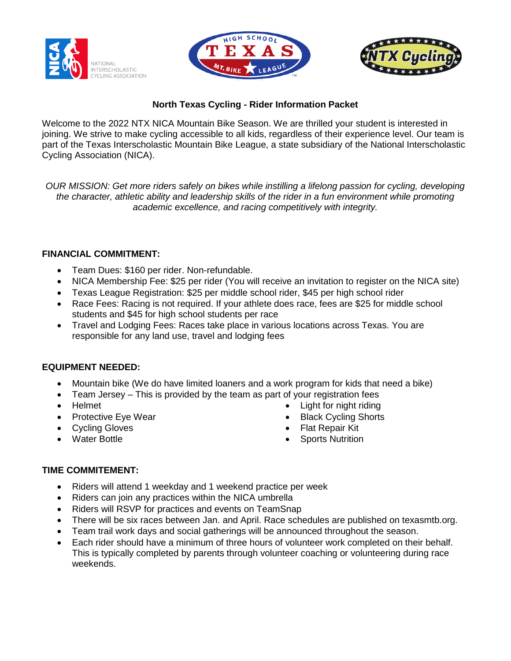





# **North Texas Cycling - Rider Information Packet**

Welcome to the 2022 NTX NICA Mountain Bike Season. We are thrilled your student is interested in joining. We strive to make cycling accessible to all kids, regardless of their experience level. Our team is part of the Texas Interscholastic Mountain Bike League, a state subsidiary of the National Interscholastic Cycling Association (NICA).

*OUR MISSION: Get more riders safely on bikes while instilling a lifelong passion for cycling, developing the character, athletic ability and leadership skills of the rider in a fun environment while promoting academic excellence, and racing competitively with integrity.*

### **FINANCIAL COMMITMENT:**

- Team Dues: \$160 per rider. Non-refundable.
- NICA Membership Fee: \$25 per rider (You will receive an invitation to register on the NICA site)
- Texas League Registration: \$25 per middle school rider, \$45 per high school rider
- Race Fees: Racing is not required. If your athlete does race, fees are \$25 for middle school students and \$45 for high school students per race
- Travel and Lodging Fees: Races take place in various locations across Texas. You are responsible for any land use, travel and lodging fees

# **EQUIPMENT NEEDED:**

- Mountain bike (We do have limited loaners and a work program for kids that need a bike)
- Team Jersey This is provided by the team as part of your registration fees
- Helmet
- Protective Eye Wear
- Cycling Gloves
- Water Bottle
- Light for night riding
- **Black Cycling Shorts**
- Flat Repair Kit
- **Sports Nutrition**

# **TIME COMMITEMENT:**

- Riders will attend 1 weekday and 1 weekend practice per week
- Riders can join any practices within the NICA umbrella
- Riders will RSVP for practices and events on TeamSnap
- There will be six races between Jan. and April. Race schedules are published on texasmtb.org.
- Team trail work days and social gatherings will be announced throughout the season.
- Each rider should have a minimum of three hours of volunteer work completed on their behalf. This is typically completed by parents through volunteer coaching or volunteering during race weekends.